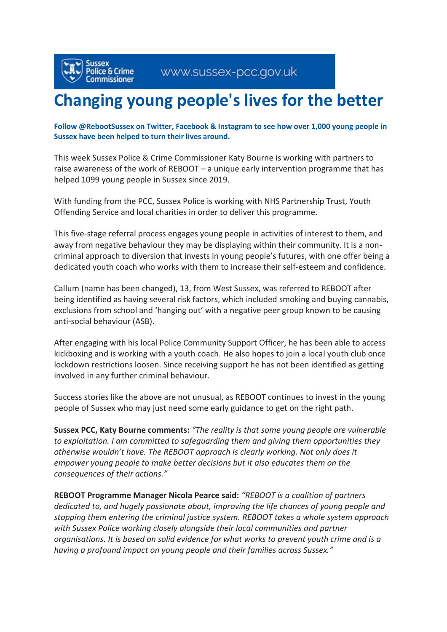## **Changing young people's lives for the better**

## **Follow @RebootSussex on Twitter, Facebook & Instagram to see how over 1,000 young people in Sussex have been helped to turn their lives around.**

This week Sussex Police & Crime Commissioner Katy Bourne is working with partners to raise awareness of the work of REBOOT – a unique early intervention programme that has helped 1099 young people in Sussex since 2019.

With funding from the PCC, Sussex Police is working with NHS Partnership Trust, Youth Offending Service and local charities in order to deliver this programme.

This five-stage referral process engages young people in activities of interest to them, and away from negative behaviour they may be displaying within their community. It is a noncriminal approach to diversion that invests in young people's futures, with one offer being a dedicated youth coach who works with them to increase their self-esteem and confidence.

Callum (name has been changed), 13, from West Sussex, was referred to REBOOT after being identified as having several risk factors, which included smoking and buying cannabis, exclusions from school and 'hanging out' with a negative peer group known to be causing anti-social behaviour (ASB).

After engaging with his local Police Community Support Officer, he has been able to access kickboxing and is working with a youth coach. He also hopes to join a local youth club once lockdown restrictions loosen. Since receiving support he has not been identified as getting involved in any further criminal behaviour.

Success stories like the above are not unusual, as REBOOT continues to invest in the young people of Sussex who may just need some early guidance to get on the right path.

**Sussex PCC, Katy Bourne comments:** *"The reality is that some young people are vulnerable to exploitation. I am committed to safeguarding them and giving them opportunities they otherwise wouldn't have. The REBOOT approach is clearly working. Not only does it empower young people to make better decisions but it also educates them on the consequences of their actions."*

**REBOOT Programme Manager Nicola Pearce said:** *"REBOOT is a coalition of partners dedicated to, and hugely passionate about, improving the life chances of young people and stopping them entering the criminal justice system. REBOOT takes a whole system approach with Sussex Police working closely alongside their local communities and partner organisations. It is based on solid evidence for what works to prevent youth crime and is a having a profound impact on young people and their families across Sussex."*